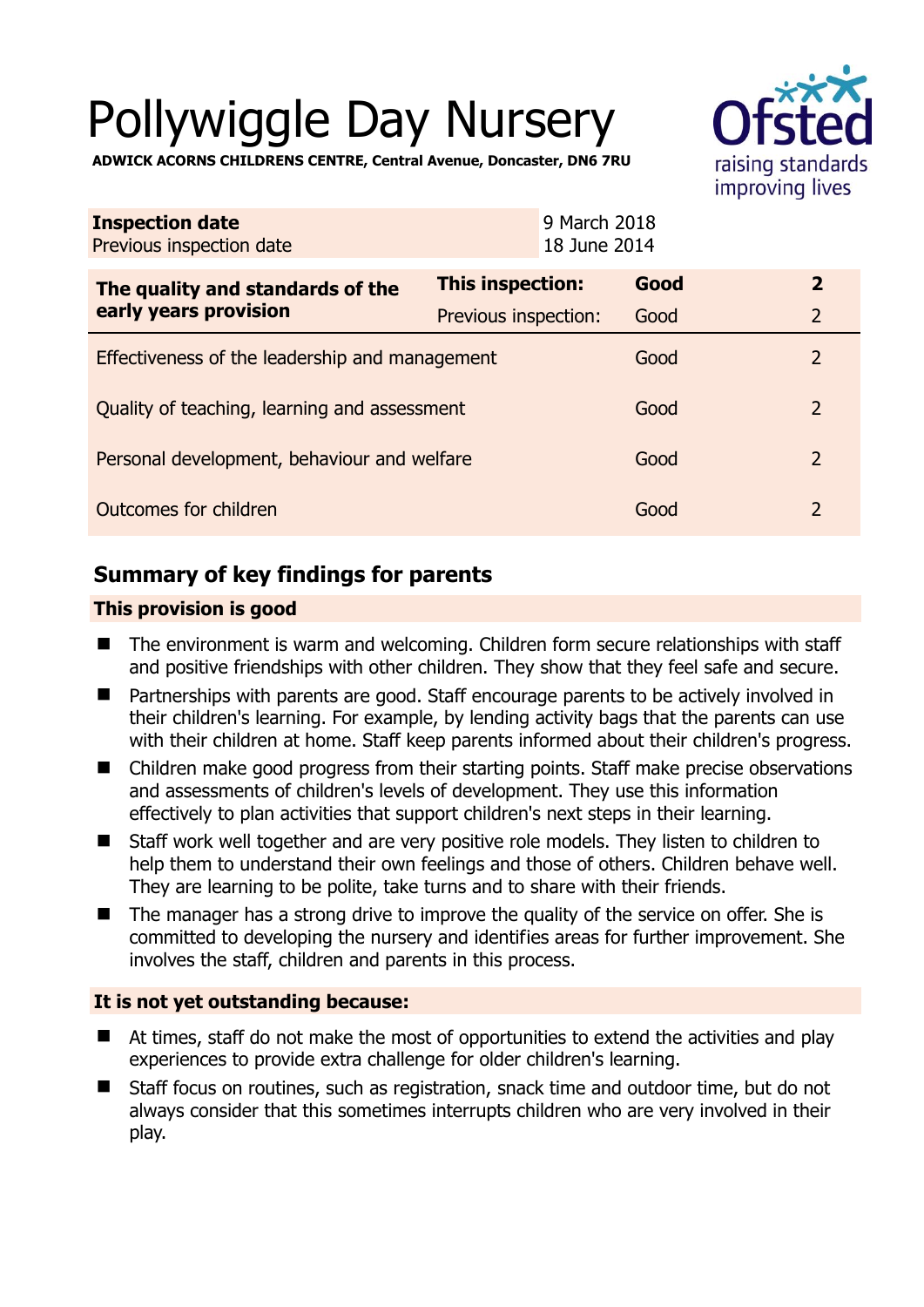# Pollywiggle Day Nursery



**ADWICK ACORNS CHILDRENS CENTRE, Central Avenue, Doncaster, DN6 7RU** 

| <b>Inspection date</b><br>Previous inspection date        |                      | 9 March 2018<br>18 June 2014 |                |
|-----------------------------------------------------------|----------------------|------------------------------|----------------|
| The quality and standards of the<br>early years provision | This inspection:     | Good                         | $\mathbf{2}$   |
|                                                           | Previous inspection: | Good                         | $\overline{2}$ |
| Effectiveness of the leadership and management            |                      | Good                         | $\overline{2}$ |
| Quality of teaching, learning and assessment              |                      | Good                         | $\overline{2}$ |
| Personal development, behaviour and welfare               |                      | Good                         | $\overline{2}$ |
| Outcomes for children                                     |                      | Good                         | $\overline{2}$ |

# **Summary of key findings for parents**

## **This provision is good**

- The environment is warm and welcoming. Children form secure relationships with staff and positive friendships with other children. They show that they feel safe and secure.
- Partnerships with parents are good. Staff encourage parents to be actively involved in their children's learning. For example, by lending activity bags that the parents can use with their children at home. Staff keep parents informed about their children's progress.
- Children make good progress from their starting points. Staff make precise observations and assessments of children's levels of development. They use this information effectively to plan activities that support children's next steps in their learning.
- Staff work well together and are very positive role models. They listen to children to help them to understand their own feelings and those of others. Children behave well. They are learning to be polite, take turns and to share with their friends.
- The manager has a strong drive to improve the quality of the service on offer. She is committed to developing the nursery and identifies areas for further improvement. She involves the staff, children and parents in this process.

## **It is not yet outstanding because:**

- At times, staff do not make the most of opportunities to extend the activities and play experiences to provide extra challenge for older children's learning.
- Staff focus on routines, such as registration, snack time and outdoor time, but do not always consider that this sometimes interrupts children who are very involved in their play.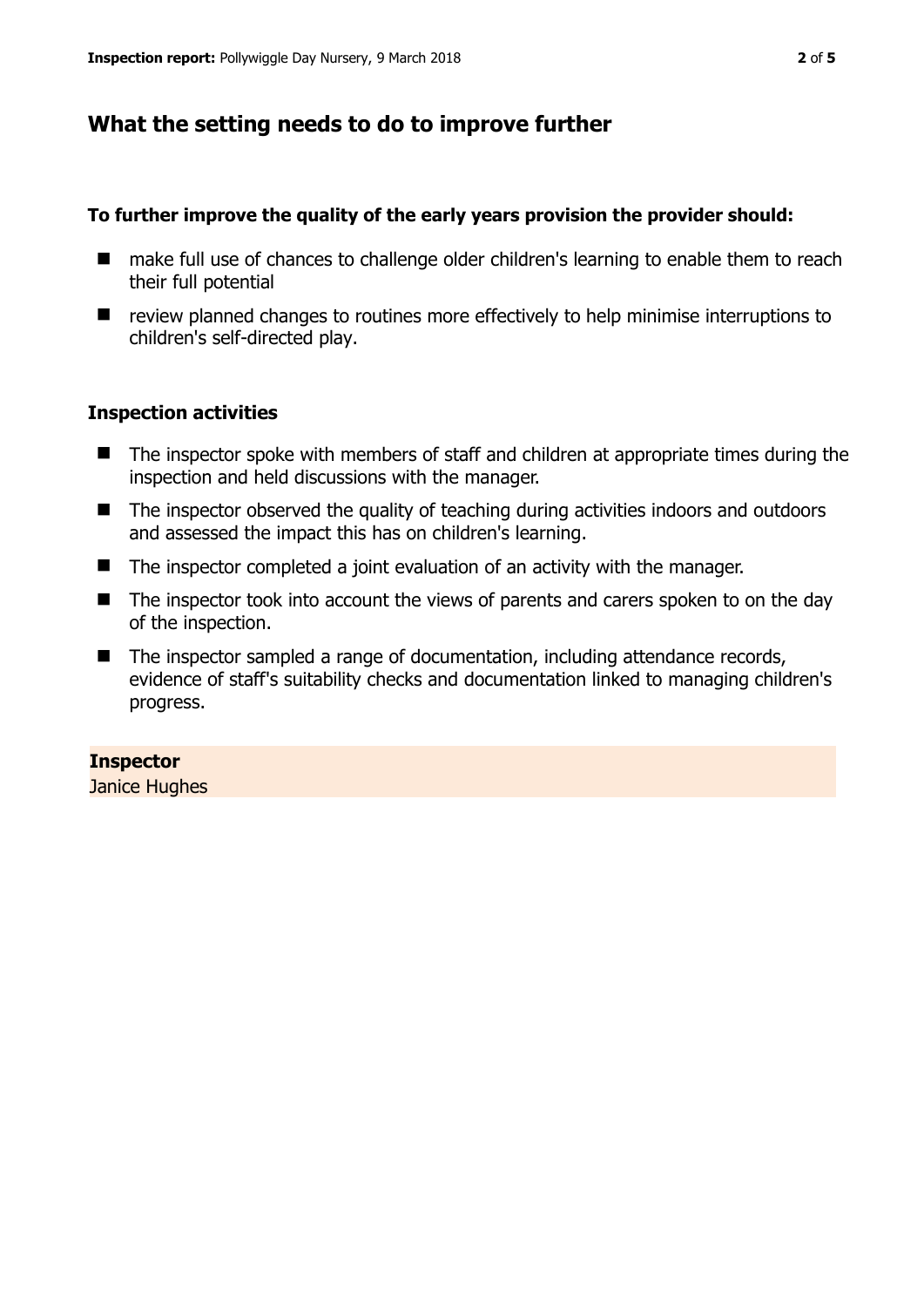## **What the setting needs to do to improve further**

#### **To further improve the quality of the early years provision the provider should:**

- make full use of chances to challenge older children's learning to enable them to reach their full potential
- review planned changes to routines more effectively to help minimise interruptions to children's self-directed play.

#### **Inspection activities**

- The inspector spoke with members of staff and children at appropriate times during the inspection and held discussions with the manager.
- The inspector observed the quality of teaching during activities indoors and outdoors and assessed the impact this has on children's learning.
- The inspector completed a joint evaluation of an activity with the manager.
- The inspector took into account the views of parents and carers spoken to on the day of the inspection.
- The inspector sampled a range of documentation, including attendance records, evidence of staff's suitability checks and documentation linked to managing children's progress.

#### **Inspector**

Janice Hughes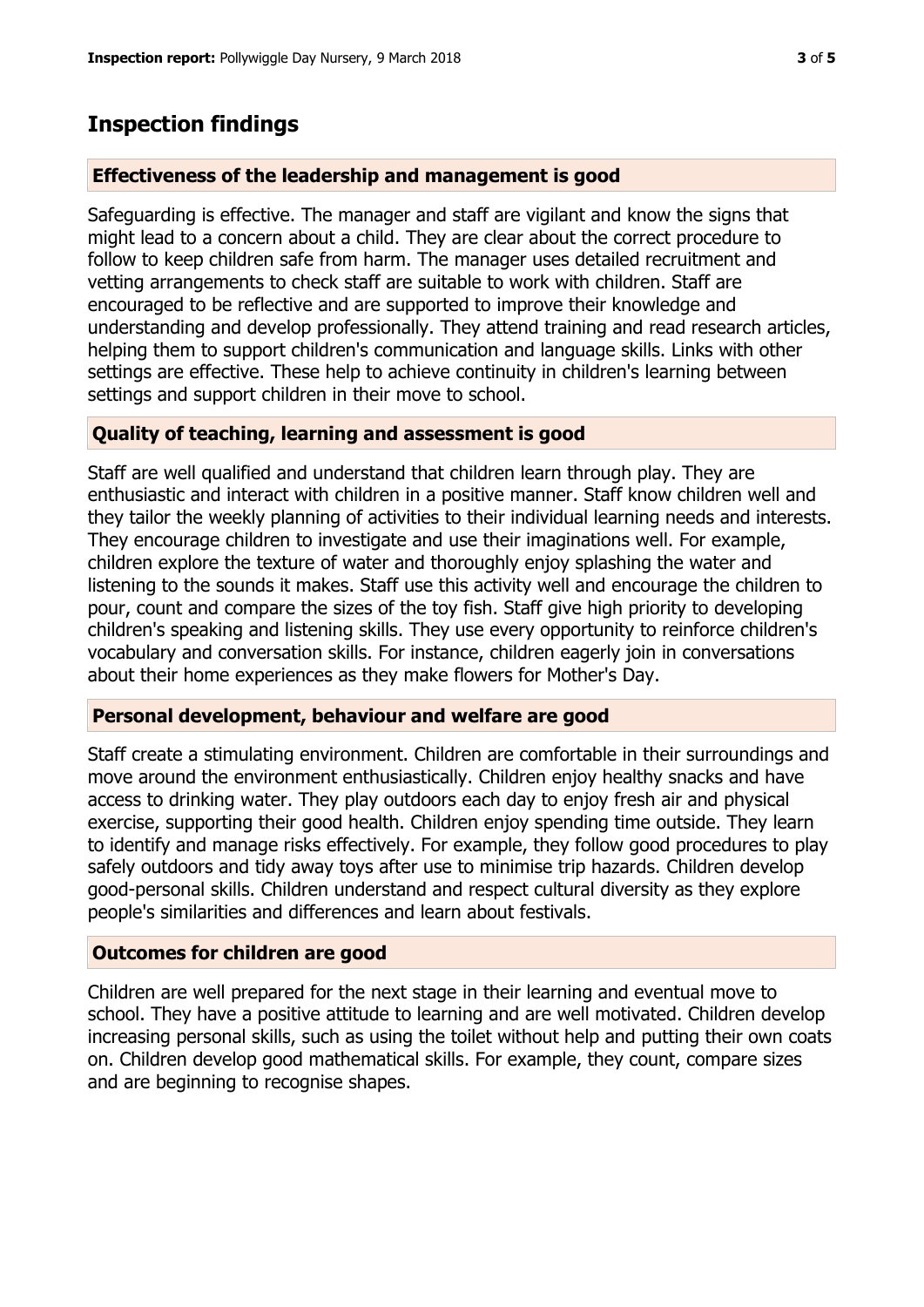## **Inspection findings**

#### **Effectiveness of the leadership and management is good**

Safeguarding is effective. The manager and staff are vigilant and know the signs that might lead to a concern about a child. They are clear about the correct procedure to follow to keep children safe from harm. The manager uses detailed recruitment and vetting arrangements to check staff are suitable to work with children. Staff are encouraged to be reflective and are supported to improve their knowledge and understanding and develop professionally. They attend training and read research articles, helping them to support children's communication and language skills. Links with other settings are effective. These help to achieve continuity in children's learning between settings and support children in their move to school.

#### **Quality of teaching, learning and assessment is good**

Staff are well qualified and understand that children learn through play. They are enthusiastic and interact with children in a positive manner. Staff know children well and they tailor the weekly planning of activities to their individual learning needs and interests. They encourage children to investigate and use their imaginations well. For example, children explore the texture of water and thoroughly enjoy splashing the water and listening to the sounds it makes. Staff use this activity well and encourage the children to pour, count and compare the sizes of the toy fish. Staff give high priority to developing children's speaking and listening skills. They use every opportunity to reinforce children's vocabulary and conversation skills. For instance, children eagerly join in conversations about their home experiences as they make flowers for Mother's Day.

#### **Personal development, behaviour and welfare are good**

Staff create a stimulating environment. Children are comfortable in their surroundings and move around the environment enthusiastically. Children enjoy healthy snacks and have access to drinking water. They play outdoors each day to enjoy fresh air and physical exercise, supporting their good health. Children enjoy spending time outside. They learn to identify and manage risks effectively. For example, they follow good procedures to play safely outdoors and tidy away toys after use to minimise trip hazards. Children develop good-personal skills. Children understand and respect cultural diversity as they explore people's similarities and differences and learn about festivals.

## **Outcomes for children are good**

Children are well prepared for the next stage in their learning and eventual move to school. They have a positive attitude to learning and are well motivated. Children develop increasing personal skills, such as using the toilet without help and putting their own coats on. Children develop good mathematical skills. For example, they count, compare sizes and are beginning to recognise shapes.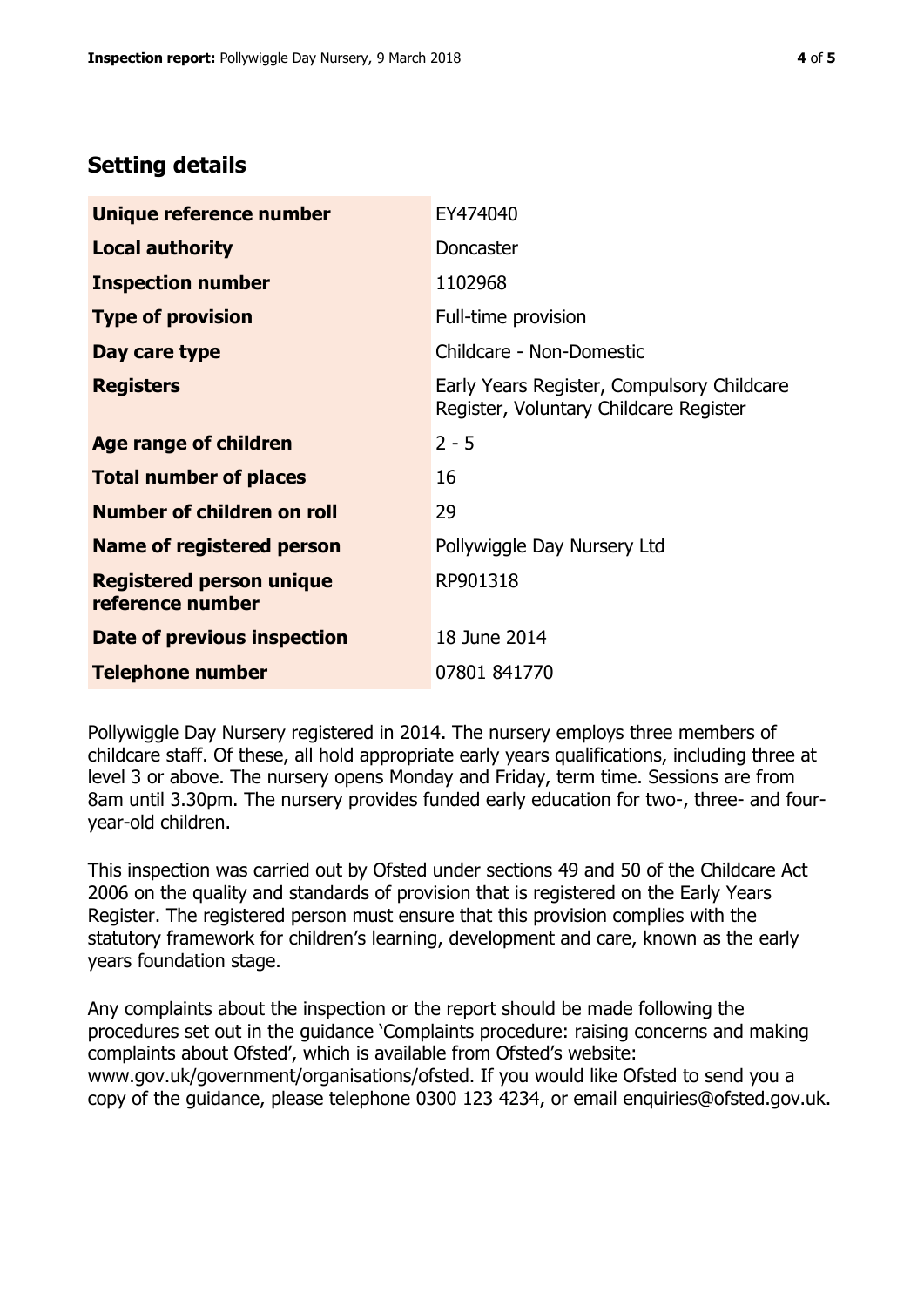# **Setting details**

| Unique reference number                             | EY474040                                                                             |  |
|-----------------------------------------------------|--------------------------------------------------------------------------------------|--|
| <b>Local authority</b>                              | Doncaster                                                                            |  |
| <b>Inspection number</b>                            | 1102968                                                                              |  |
| <b>Type of provision</b>                            | Full-time provision                                                                  |  |
| Day care type                                       | Childcare - Non-Domestic                                                             |  |
| <b>Registers</b>                                    | Early Years Register, Compulsory Childcare<br>Register, Voluntary Childcare Register |  |
| <b>Age range of children</b>                        | $2 - 5$                                                                              |  |
| <b>Total number of places</b>                       | 16                                                                                   |  |
| Number of children on roll                          | 29                                                                                   |  |
| <b>Name of registered person</b>                    | Pollywiggle Day Nursery Ltd                                                          |  |
| <b>Registered person unique</b><br>reference number | RP901318                                                                             |  |
| Date of previous inspection                         | 18 June 2014                                                                         |  |
| <b>Telephone number</b>                             | 07801 841770                                                                         |  |

Pollywiggle Day Nursery registered in 2014. The nursery employs three members of childcare staff. Of these, all hold appropriate early years qualifications, including three at level 3 or above. The nursery opens Monday and Friday, term time. Sessions are from 8am until 3.30pm. The nursery provides funded early education for two-, three- and fouryear-old children.

This inspection was carried out by Ofsted under sections 49 and 50 of the Childcare Act 2006 on the quality and standards of provision that is registered on the Early Years Register. The registered person must ensure that this provision complies with the statutory framework for children's learning, development and care, known as the early years foundation stage.

Any complaints about the inspection or the report should be made following the procedures set out in the guidance 'Complaints procedure: raising concerns and making complaints about Ofsted', which is available from Ofsted's website: www.gov.uk/government/organisations/ofsted. If you would like Ofsted to send you a copy of the guidance, please telephone 0300 123 4234, or email enquiries@ofsted.gov.uk.